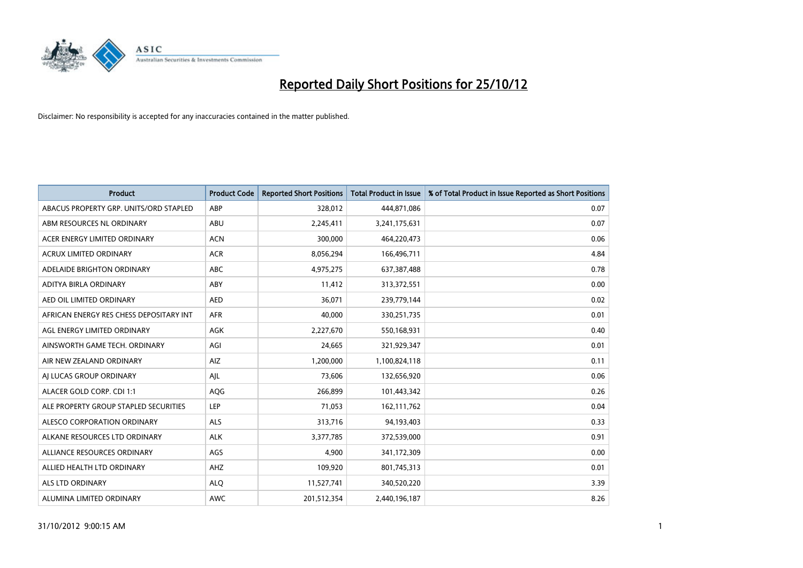

| <b>Product</b>                          | <b>Product Code</b> | <b>Reported Short Positions</b> | <b>Total Product in Issue</b> | % of Total Product in Issue Reported as Short Positions |
|-----------------------------------------|---------------------|---------------------------------|-------------------------------|---------------------------------------------------------|
| ABACUS PROPERTY GRP. UNITS/ORD STAPLED  | ABP                 | 328,012                         | 444,871,086                   | 0.07                                                    |
| ABM RESOURCES NL ORDINARY               | ABU                 | 2,245,411                       | 3,241,175,631                 | 0.07                                                    |
| ACER ENERGY LIMITED ORDINARY            | <b>ACN</b>          | 300,000                         | 464,220,473                   | 0.06                                                    |
| ACRUX LIMITED ORDINARY                  | <b>ACR</b>          | 8,056,294                       | 166,496,711                   | 4.84                                                    |
| ADELAIDE BRIGHTON ORDINARY              | <b>ABC</b>          | 4,975,275                       | 637, 387, 488                 | 0.78                                                    |
| ADITYA BIRLA ORDINARY                   | ABY                 | 11,412                          | 313,372,551                   | 0.00                                                    |
| AED OIL LIMITED ORDINARY                | <b>AED</b>          | 36,071                          | 239,779,144                   | 0.02                                                    |
| AFRICAN ENERGY RES CHESS DEPOSITARY INT | <b>AFR</b>          | 40,000                          | 330,251,735                   | 0.01                                                    |
| AGL ENERGY LIMITED ORDINARY             | AGK                 | 2,227,670                       | 550,168,931                   | 0.40                                                    |
| AINSWORTH GAME TECH. ORDINARY           | AGI                 | 24,665                          | 321,929,347                   | 0.01                                                    |
| AIR NEW ZEALAND ORDINARY                | AIZ                 | 1,200,000                       | 1,100,824,118                 | 0.11                                                    |
| AI LUCAS GROUP ORDINARY                 | AJL                 | 73,606                          | 132,656,920                   | 0.06                                                    |
| ALACER GOLD CORP. CDI 1:1               | AQG                 | 266,899                         | 101,443,342                   | 0.26                                                    |
| ALE PROPERTY GROUP STAPLED SECURITIES   | LEP                 | 71,053                          | 162,111,762                   | 0.04                                                    |
| ALESCO CORPORATION ORDINARY             | <b>ALS</b>          | 313,716                         | 94,193,403                    | 0.33                                                    |
| ALKANE RESOURCES LTD ORDINARY           | <b>ALK</b>          | 3,377,785                       | 372,539,000                   | 0.91                                                    |
| ALLIANCE RESOURCES ORDINARY             | AGS                 | 4,900                           | 341,172,309                   | 0.00                                                    |
| ALLIED HEALTH LTD ORDINARY              | AHZ                 | 109,920                         | 801,745,313                   | 0.01                                                    |
| ALS LTD ORDINARY                        | <b>ALO</b>          | 11,527,741                      | 340,520,220                   | 3.39                                                    |
| ALUMINA LIMITED ORDINARY                | <b>AWC</b>          | 201,512,354                     | 2,440,196,187                 | 8.26                                                    |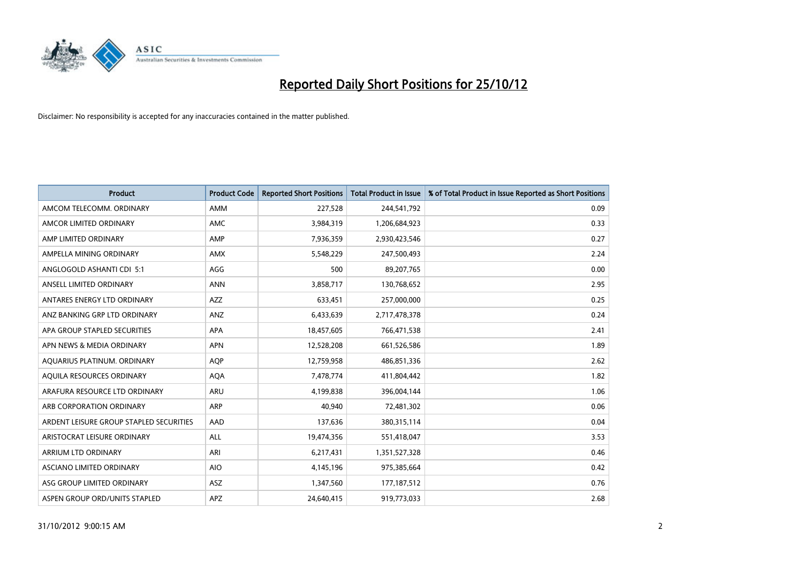

| <b>Product</b>                          | <b>Product Code</b> | <b>Reported Short Positions</b> | <b>Total Product in Issue</b> | % of Total Product in Issue Reported as Short Positions |
|-----------------------------------------|---------------------|---------------------------------|-------------------------------|---------------------------------------------------------|
| AMCOM TELECOMM, ORDINARY                | <b>AMM</b>          | 227,528                         | 244,541,792                   | 0.09                                                    |
| AMCOR LIMITED ORDINARY                  | <b>AMC</b>          | 3,984,319                       | 1,206,684,923                 | 0.33                                                    |
| AMP LIMITED ORDINARY                    | AMP                 | 7,936,359                       | 2,930,423,546                 | 0.27                                                    |
| AMPELLA MINING ORDINARY                 | <b>AMX</b>          | 5,548,229                       | 247,500,493                   | 2.24                                                    |
| ANGLOGOLD ASHANTI CDI 5:1               | AGG                 | 500                             | 89,207,765                    | 0.00                                                    |
| ANSELL LIMITED ORDINARY                 | <b>ANN</b>          | 3,858,717                       | 130,768,652                   | 2.95                                                    |
| ANTARES ENERGY LTD ORDINARY             | <b>AZZ</b>          | 633,451                         | 257,000,000                   | 0.25                                                    |
| ANZ BANKING GRP LTD ORDINARY            | ANZ                 | 6,433,639                       | 2,717,478,378                 | 0.24                                                    |
| APA GROUP STAPLED SECURITIES            | <b>APA</b>          | 18,457,605                      | 766,471,538                   | 2.41                                                    |
| APN NEWS & MEDIA ORDINARY               | <b>APN</b>          | 12,528,208                      | 661,526,586                   | 1.89                                                    |
| AQUARIUS PLATINUM. ORDINARY             | <b>AOP</b>          | 12,759,958                      | 486,851,336                   | 2.62                                                    |
| AQUILA RESOURCES ORDINARY               | <b>AQA</b>          | 7,478,774                       | 411,804,442                   | 1.82                                                    |
| ARAFURA RESOURCE LTD ORDINARY           | ARU                 | 4,199,838                       | 396,004,144                   | 1.06                                                    |
| ARB CORPORATION ORDINARY                | <b>ARP</b>          | 40,940                          | 72,481,302                    | 0.06                                                    |
| ARDENT LEISURE GROUP STAPLED SECURITIES | AAD                 | 137,636                         | 380, 315, 114                 | 0.04                                                    |
| ARISTOCRAT LEISURE ORDINARY             | ALL                 | 19,474,356                      | 551,418,047                   | 3.53                                                    |
| ARRIUM LTD ORDINARY                     | ARI                 | 6,217,431                       | 1,351,527,328                 | 0.46                                                    |
| ASCIANO LIMITED ORDINARY                | <b>AIO</b>          | 4,145,196                       | 975,385,664                   | 0.42                                                    |
| ASG GROUP LIMITED ORDINARY              | <b>ASZ</b>          | 1,347,560                       | 177,187,512                   | 0.76                                                    |
| ASPEN GROUP ORD/UNITS STAPLED           | APZ                 | 24,640,415                      | 919,773,033                   | 2.68                                                    |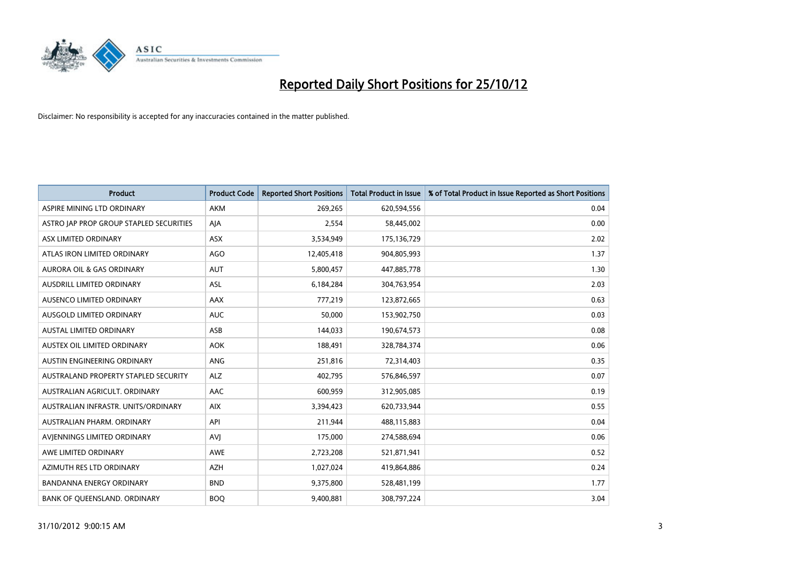

| <b>Product</b>                          | <b>Product Code</b> | <b>Reported Short Positions</b> | <b>Total Product in Issue</b> | % of Total Product in Issue Reported as Short Positions |
|-----------------------------------------|---------------------|---------------------------------|-------------------------------|---------------------------------------------------------|
| ASPIRE MINING LTD ORDINARY              | <b>AKM</b>          | 269,265                         | 620,594,556                   | 0.04                                                    |
| ASTRO JAP PROP GROUP STAPLED SECURITIES | AJA                 | 2,554                           | 58,445,002                    | 0.00                                                    |
| ASX LIMITED ORDINARY                    | <b>ASX</b>          | 3,534,949                       | 175,136,729                   | 2.02                                                    |
| ATLAS IRON LIMITED ORDINARY             | AGO                 | 12,405,418                      | 904,805,993                   | 1.37                                                    |
| <b>AURORA OIL &amp; GAS ORDINARY</b>    | <b>AUT</b>          | 5,800,457                       | 447,885,778                   | 1.30                                                    |
| AUSDRILL LIMITED ORDINARY               | <b>ASL</b>          | 6,184,284                       | 304,763,954                   | 2.03                                                    |
| AUSENCO LIMITED ORDINARY                | AAX                 | 777,219                         | 123,872,665                   | 0.63                                                    |
| <b>AUSGOLD LIMITED ORDINARY</b>         | <b>AUC</b>          | 50,000                          | 153,902,750                   | 0.03                                                    |
| <b>AUSTAL LIMITED ORDINARY</b>          | ASB                 | 144,033                         | 190,674,573                   | 0.08                                                    |
| AUSTEX OIL LIMITED ORDINARY             | <b>AOK</b>          | 188,491                         | 328,784,374                   | 0.06                                                    |
| AUSTIN ENGINEERING ORDINARY             | <b>ANG</b>          | 251,816                         | 72,314,403                    | 0.35                                                    |
| AUSTRALAND PROPERTY STAPLED SECURITY    | <b>ALZ</b>          | 402,795                         | 576,846,597                   | 0.07                                                    |
| AUSTRALIAN AGRICULT, ORDINARY           | <b>AAC</b>          | 600,959                         | 312,905,085                   | 0.19                                                    |
| AUSTRALIAN INFRASTR, UNITS/ORDINARY     | <b>AIX</b>          | 3,394,423                       | 620,733,944                   | 0.55                                                    |
| <b>AUSTRALIAN PHARM, ORDINARY</b>       | API                 | 211,944                         | 488,115,883                   | 0.04                                                    |
| AVJENNINGS LIMITED ORDINARY             | <b>AVJ</b>          | 175,000                         | 274,588,694                   | 0.06                                                    |
| AWE LIMITED ORDINARY                    | AWE                 | 2,723,208                       | 521,871,941                   | 0.52                                                    |
| AZIMUTH RES LTD ORDINARY                | <b>AZH</b>          | 1,027,024                       | 419,864,886                   | 0.24                                                    |
| <b>BANDANNA ENERGY ORDINARY</b>         | <b>BND</b>          | 9,375,800                       | 528,481,199                   | 1.77                                                    |
| BANK OF QUEENSLAND. ORDINARY            | <b>BOQ</b>          | 9,400,881                       | 308,797,224                   | 3.04                                                    |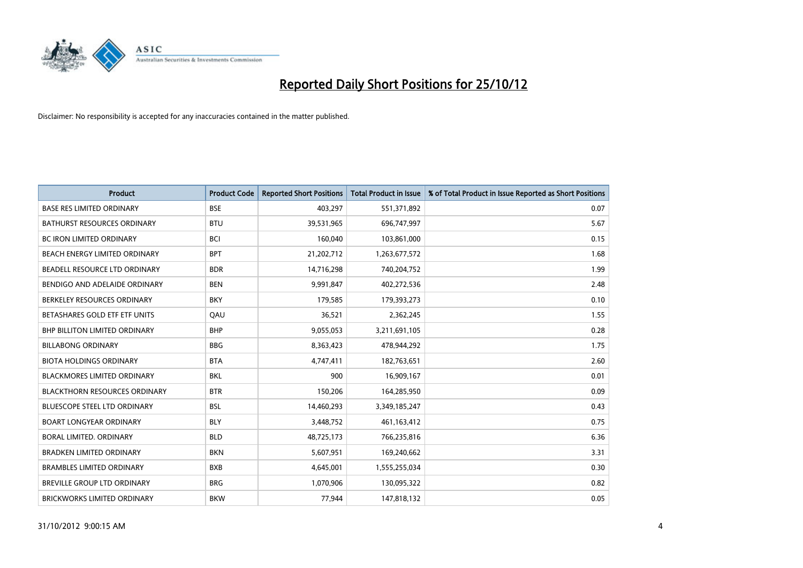

| <b>Product</b>                       | <b>Product Code</b> | <b>Reported Short Positions</b> | <b>Total Product in Issue</b> | % of Total Product in Issue Reported as Short Positions |
|--------------------------------------|---------------------|---------------------------------|-------------------------------|---------------------------------------------------------|
| <b>BASE RES LIMITED ORDINARY</b>     | <b>BSE</b>          | 403,297                         | 551,371,892                   | 0.07                                                    |
| <b>BATHURST RESOURCES ORDINARY</b>   | <b>BTU</b>          | 39,531,965                      | 696,747,997                   | 5.67                                                    |
| <b>BC IRON LIMITED ORDINARY</b>      | <b>BCI</b>          | 160,040                         | 103,861,000                   | 0.15                                                    |
| BEACH ENERGY LIMITED ORDINARY        | <b>BPT</b>          | 21,202,712                      | 1,263,677,572                 | 1.68                                                    |
| BEADELL RESOURCE LTD ORDINARY        | <b>BDR</b>          | 14,716,298                      | 740,204,752                   | 1.99                                                    |
| BENDIGO AND ADELAIDE ORDINARY        | <b>BEN</b>          | 9,991,847                       | 402,272,536                   | 2.48                                                    |
| BERKELEY RESOURCES ORDINARY          | <b>BKY</b>          | 179,585                         | 179,393,273                   | 0.10                                                    |
| BETASHARES GOLD ETF ETF UNITS        | QAU                 | 36,521                          | 2,362,245                     | 1.55                                                    |
| <b>BHP BILLITON LIMITED ORDINARY</b> | <b>BHP</b>          | 9,055,053                       | 3,211,691,105                 | 0.28                                                    |
| <b>BILLABONG ORDINARY</b>            | <b>BBG</b>          | 8,363,423                       | 478,944,292                   | 1.75                                                    |
| <b>BIOTA HOLDINGS ORDINARY</b>       | <b>BTA</b>          | 4,747,411                       | 182,763,651                   | 2.60                                                    |
| <b>BLACKMORES LIMITED ORDINARY</b>   | <b>BKL</b>          | 900                             | 16,909,167                    | 0.01                                                    |
| <b>BLACKTHORN RESOURCES ORDINARY</b> | <b>BTR</b>          | 150,206                         | 164,285,950                   | 0.09                                                    |
| BLUESCOPE STEEL LTD ORDINARY         | <b>BSL</b>          | 14,460,293                      | 3,349,185,247                 | 0.43                                                    |
| <b>BOART LONGYEAR ORDINARY</b>       | <b>BLY</b>          | 3,448,752                       | 461,163,412                   | 0.75                                                    |
| BORAL LIMITED. ORDINARY              | <b>BLD</b>          | 48,725,173                      | 766,235,816                   | 6.36                                                    |
| <b>BRADKEN LIMITED ORDINARY</b>      | <b>BKN</b>          | 5,607,951                       | 169,240,662                   | 3.31                                                    |
| <b>BRAMBLES LIMITED ORDINARY</b>     | <b>BXB</b>          | 4,645,001                       | 1,555,255,034                 | 0.30                                                    |
| <b>BREVILLE GROUP LTD ORDINARY</b>   | <b>BRG</b>          | 1,070,906                       | 130,095,322                   | 0.82                                                    |
| BRICKWORKS LIMITED ORDINARY          | <b>BKW</b>          | 77,944                          | 147,818,132                   | 0.05                                                    |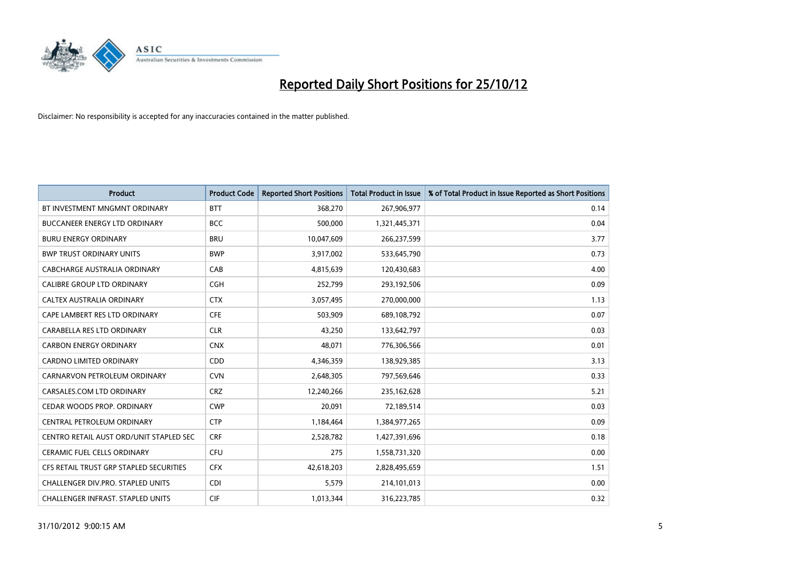

| <b>Product</b>                           | <b>Product Code</b> | <b>Reported Short Positions</b> | <b>Total Product in Issue</b> | % of Total Product in Issue Reported as Short Positions |
|------------------------------------------|---------------------|---------------------------------|-------------------------------|---------------------------------------------------------|
| BT INVESTMENT MNGMNT ORDINARY            | <b>BTT</b>          | 368,270                         | 267,906,977                   | 0.14                                                    |
| <b>BUCCANEER ENERGY LTD ORDINARY</b>     | <b>BCC</b>          | 500,000                         | 1,321,445,371                 | 0.04                                                    |
| <b>BURU ENERGY ORDINARY</b>              | <b>BRU</b>          | 10,047,609                      | 266,237,599                   | 3.77                                                    |
| <b>BWP TRUST ORDINARY UNITS</b>          | <b>BWP</b>          | 3,917,002                       | 533,645,790                   | 0.73                                                    |
| CABCHARGE AUSTRALIA ORDINARY             | CAB                 | 4,815,639                       | 120,430,683                   | 4.00                                                    |
| <b>CALIBRE GROUP LTD ORDINARY</b>        | <b>CGH</b>          | 252,799                         | 293,192,506                   | 0.09                                                    |
| CALTEX AUSTRALIA ORDINARY                | <b>CTX</b>          | 3,057,495                       | 270,000,000                   | 1.13                                                    |
| CAPE LAMBERT RES LTD ORDINARY            | <b>CFE</b>          | 503,909                         | 689,108,792                   | 0.07                                                    |
| CARABELLA RES LTD ORDINARY               | <b>CLR</b>          | 43,250                          | 133,642,797                   | 0.03                                                    |
| <b>CARBON ENERGY ORDINARY</b>            | <b>CNX</b>          | 48,071                          | 776,306,566                   | 0.01                                                    |
| CARDNO LIMITED ORDINARY                  | CDD                 | 4,346,359                       | 138,929,385                   | 3.13                                                    |
| CARNARVON PETROLEUM ORDINARY             | <b>CVN</b>          | 2,648,305                       | 797,569,646                   | 0.33                                                    |
| CARSALES.COM LTD ORDINARY                | <b>CRZ</b>          | 12,240,266                      | 235,162,628                   | 5.21                                                    |
| CEDAR WOODS PROP. ORDINARY               | <b>CWP</b>          | 20,091                          | 72,189,514                    | 0.03                                                    |
| CENTRAL PETROLEUM ORDINARY               | <b>CTP</b>          | 1,184,464                       | 1,384,977,265                 | 0.09                                                    |
| CENTRO RETAIL AUST ORD/UNIT STAPLED SEC  | <b>CRF</b>          | 2,528,782                       | 1,427,391,696                 | 0.18                                                    |
| <b>CERAMIC FUEL CELLS ORDINARY</b>       | CFU                 | 275                             | 1,558,731,320                 | 0.00                                                    |
| CFS RETAIL TRUST GRP STAPLED SECURITIES  | <b>CFX</b>          | 42,618,203                      | 2,828,495,659                 | 1.51                                                    |
| CHALLENGER DIV.PRO. STAPLED UNITS        | <b>CDI</b>          | 5,579                           | 214,101,013                   | 0.00                                                    |
| <b>CHALLENGER INFRAST. STAPLED UNITS</b> | <b>CIF</b>          | 1,013,344                       | 316,223,785                   | 0.32                                                    |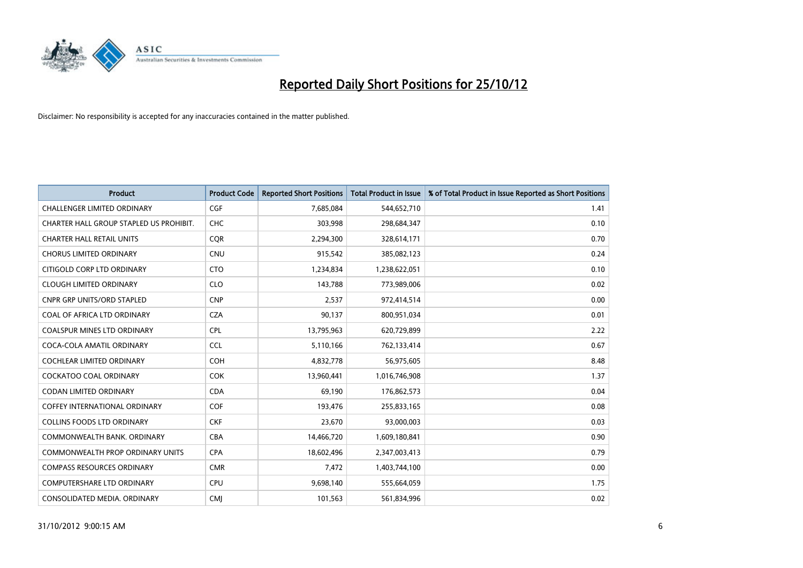

| <b>Product</b>                          | <b>Product Code</b> | <b>Reported Short Positions</b> | <b>Total Product in Issue</b> | % of Total Product in Issue Reported as Short Positions |
|-----------------------------------------|---------------------|---------------------------------|-------------------------------|---------------------------------------------------------|
| <b>CHALLENGER LIMITED ORDINARY</b>      | <b>CGF</b>          | 7,685,084                       | 544,652,710                   | 1.41                                                    |
| CHARTER HALL GROUP STAPLED US PROHIBIT. | <b>CHC</b>          | 303,998                         | 298,684,347                   | 0.10                                                    |
| <b>CHARTER HALL RETAIL UNITS</b>        | <b>COR</b>          | 2,294,300                       | 328,614,171                   | 0.70                                                    |
| <b>CHORUS LIMITED ORDINARY</b>          | <b>CNU</b>          | 915,542                         | 385,082,123                   | 0.24                                                    |
| CITIGOLD CORP LTD ORDINARY              | <b>CTO</b>          | 1,234,834                       | 1,238,622,051                 | 0.10                                                    |
| <b>CLOUGH LIMITED ORDINARY</b>          | <b>CLO</b>          | 143,788                         | 773,989,006                   | 0.02                                                    |
| <b>CNPR GRP UNITS/ORD STAPLED</b>       | <b>CNP</b>          | 2,537                           | 972,414,514                   | 0.00                                                    |
| COAL OF AFRICA LTD ORDINARY             | <b>CZA</b>          | 90,137                          | 800,951,034                   | 0.01                                                    |
| <b>COALSPUR MINES LTD ORDINARY</b>      | <b>CPL</b>          | 13,795,963                      | 620,729,899                   | 2.22                                                    |
| COCA-COLA AMATIL ORDINARY               | <b>CCL</b>          | 5,110,166                       | 762,133,414                   | 0.67                                                    |
| <b>COCHLEAR LIMITED ORDINARY</b>        | <b>COH</b>          | 4,832,778                       | 56,975,605                    | 8.48                                                    |
| COCKATOO COAL ORDINARY                  | <b>COK</b>          | 13,960,441                      | 1,016,746,908                 | 1.37                                                    |
| <b>CODAN LIMITED ORDINARY</b>           | <b>CDA</b>          | 69,190                          | 176,862,573                   | 0.04                                                    |
| <b>COFFEY INTERNATIONAL ORDINARY</b>    | <b>COF</b>          | 193,476                         | 255,833,165                   | 0.08                                                    |
| <b>COLLINS FOODS LTD ORDINARY</b>       | <b>CKF</b>          | 23,670                          | 93,000,003                    | 0.03                                                    |
| COMMONWEALTH BANK, ORDINARY             | <b>CBA</b>          | 14,466,720                      | 1,609,180,841                 | 0.90                                                    |
| <b>COMMONWEALTH PROP ORDINARY UNITS</b> | <b>CPA</b>          | 18,602,496                      | 2,347,003,413                 | 0.79                                                    |
| <b>COMPASS RESOURCES ORDINARY</b>       | <b>CMR</b>          | 7,472                           | 1,403,744,100                 | 0.00                                                    |
| <b>COMPUTERSHARE LTD ORDINARY</b>       | CPU                 | 9,698,140                       | 555,664,059                   | 1.75                                                    |
| CONSOLIDATED MEDIA. ORDINARY            | <b>CMI</b>          | 101,563                         | 561,834,996                   | 0.02                                                    |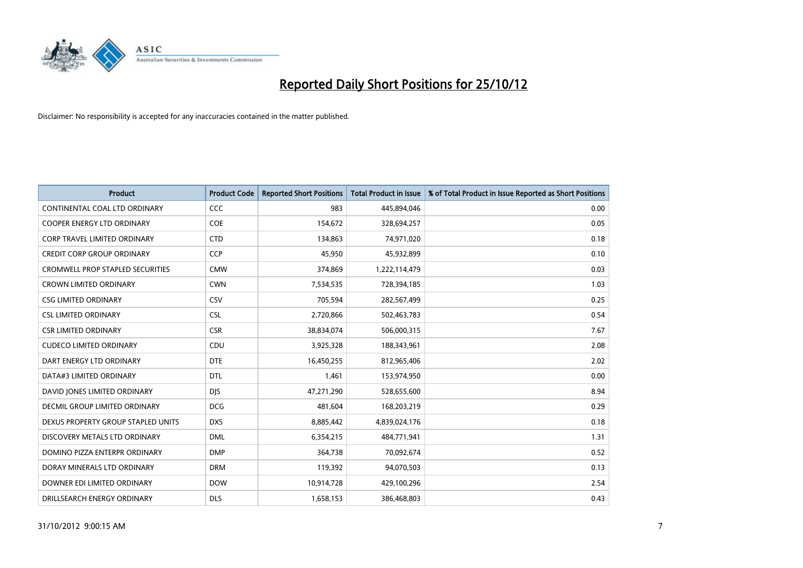

| <b>Product</b>                          | <b>Product Code</b> | <b>Reported Short Positions</b> | Total Product in Issue | % of Total Product in Issue Reported as Short Positions |
|-----------------------------------------|---------------------|---------------------------------|------------------------|---------------------------------------------------------|
| CONTINENTAL COAL LTD ORDINARY           | <b>CCC</b>          | 983                             | 445,894,046            | 0.00                                                    |
| COOPER ENERGY LTD ORDINARY              | <b>COE</b>          | 154,672                         | 328,694,257            | 0.05                                                    |
| <b>CORP TRAVEL LIMITED ORDINARY</b>     | <b>CTD</b>          | 134,863                         | 74,971,020             | 0.18                                                    |
| <b>CREDIT CORP GROUP ORDINARY</b>       | <b>CCP</b>          | 45,950                          | 45,932,899             | 0.10                                                    |
| <b>CROMWELL PROP STAPLED SECURITIES</b> | <b>CMW</b>          | 374,869                         | 1,222,114,479          | 0.03                                                    |
| <b>CROWN LIMITED ORDINARY</b>           | <b>CWN</b>          | 7,534,535                       | 728,394,185            | 1.03                                                    |
| <b>CSG LIMITED ORDINARY</b>             | CSV                 | 705,594                         | 282,567,499            | 0.25                                                    |
| <b>CSL LIMITED ORDINARY</b>             | <b>CSL</b>          | 2,720,866                       | 502,463,783            | 0.54                                                    |
| <b>CSR LIMITED ORDINARY</b>             | <b>CSR</b>          | 38,834,074                      | 506,000,315            | 7.67                                                    |
| <b>CUDECO LIMITED ORDINARY</b>          | CDU                 | 3,925,328                       | 188,343,961            | 2.08                                                    |
| DART ENERGY LTD ORDINARY                | <b>DTE</b>          | 16,450,255                      | 812,965,406            | 2.02                                                    |
| DATA#3 LIMITED ORDINARY                 | <b>DTL</b>          | 1,461                           | 153,974,950            | 0.00                                                    |
| DAVID JONES LIMITED ORDINARY            | <b>DJS</b>          | 47,271,290                      | 528,655,600            | 8.94                                                    |
| DECMIL GROUP LIMITED ORDINARY           | <b>DCG</b>          | 481,604                         | 168,203,219            | 0.29                                                    |
| DEXUS PROPERTY GROUP STAPLED UNITS      | <b>DXS</b>          | 8,885,442                       | 4,839,024,176          | 0.18                                                    |
| DISCOVERY METALS LTD ORDINARY           | <b>DML</b>          | 6,354,215                       | 484,771,941            | 1.31                                                    |
| DOMINO PIZZA ENTERPR ORDINARY           | <b>DMP</b>          | 364,738                         | 70,092,674             | 0.52                                                    |
| DORAY MINERALS LTD ORDINARY             | <b>DRM</b>          | 119,392                         | 94,070,503             | 0.13                                                    |
| DOWNER EDI LIMITED ORDINARY             | <b>DOW</b>          | 10,914,728                      | 429,100,296            | 2.54                                                    |
| DRILLSEARCH ENERGY ORDINARY             | <b>DLS</b>          | 1,658,153                       | 386,468,803            | 0.43                                                    |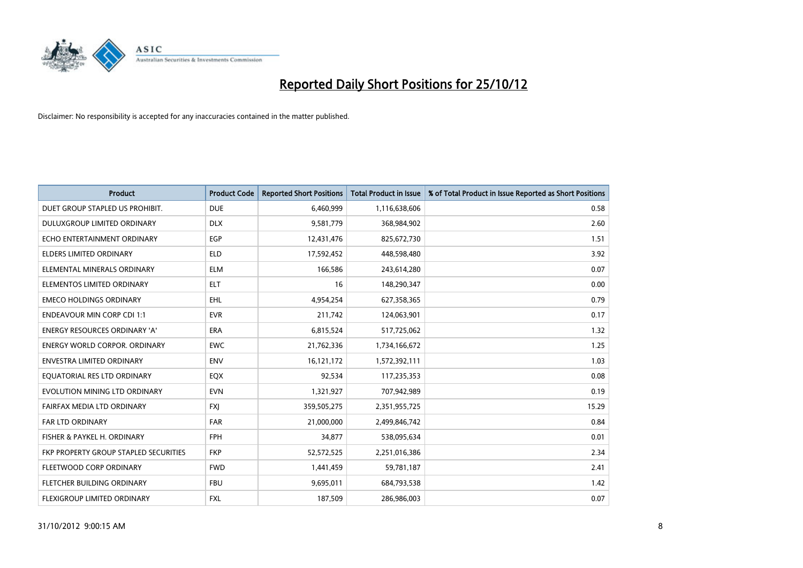

| <b>Product</b>                        | <b>Product Code</b> | <b>Reported Short Positions</b> | <b>Total Product in Issue</b> | % of Total Product in Issue Reported as Short Positions |
|---------------------------------------|---------------------|---------------------------------|-------------------------------|---------------------------------------------------------|
| DUET GROUP STAPLED US PROHIBIT.       | <b>DUE</b>          | 6,460,999                       | 1,116,638,606                 | 0.58                                                    |
| DULUXGROUP LIMITED ORDINARY           | <b>DLX</b>          | 9,581,779                       | 368,984,902                   | 2.60                                                    |
| ECHO ENTERTAINMENT ORDINARY           | EGP                 | 12,431,476                      | 825,672,730                   | 1.51                                                    |
| ELDERS LIMITED ORDINARY               | <b>ELD</b>          | 17,592,452                      | 448,598,480                   | 3.92                                                    |
| ELEMENTAL MINERALS ORDINARY           | <b>ELM</b>          | 166,586                         | 243,614,280                   | 0.07                                                    |
| ELEMENTOS LIMITED ORDINARY            | <b>ELT</b>          | 16                              | 148,290,347                   | 0.00                                                    |
| <b>EMECO HOLDINGS ORDINARY</b>        | <b>EHL</b>          | 4,954,254                       | 627,358,365                   | 0.79                                                    |
| <b>ENDEAVOUR MIN CORP CDI 1:1</b>     | <b>EVR</b>          | 211,742                         | 124,063,901                   | 0.17                                                    |
| ENERGY RESOURCES ORDINARY 'A'         | ERA                 | 6,815,524                       | 517,725,062                   | 1.32                                                    |
| <b>ENERGY WORLD CORPOR, ORDINARY</b>  | <b>EWC</b>          | 21,762,336                      | 1,734,166,672                 | 1.25                                                    |
| ENVESTRA LIMITED ORDINARY             | <b>ENV</b>          | 16,121,172                      | 1,572,392,111                 | 1.03                                                    |
| EQUATORIAL RES LTD ORDINARY           | <b>EQX</b>          | 92,534                          | 117,235,353                   | 0.08                                                    |
| EVOLUTION MINING LTD ORDINARY         | <b>EVN</b>          | 1,321,927                       | 707,942,989                   | 0.19                                                    |
| FAIRFAX MEDIA LTD ORDINARY            | <b>FXI</b>          | 359,505,275                     | 2,351,955,725                 | 15.29                                                   |
| <b>FAR LTD ORDINARY</b>               | <b>FAR</b>          | 21,000,000                      | 2,499,846,742                 | 0.84                                                    |
| FISHER & PAYKEL H. ORDINARY           | <b>FPH</b>          | 34,877                          | 538,095,634                   | 0.01                                                    |
| FKP PROPERTY GROUP STAPLED SECURITIES | <b>FKP</b>          | 52,572,525                      | 2,251,016,386                 | 2.34                                                    |
| FLEETWOOD CORP ORDINARY               | <b>FWD</b>          | 1,441,459                       | 59,781,187                    | 2.41                                                    |
| FLETCHER BUILDING ORDINARY            | <b>FBU</b>          | 9,695,011                       | 684,793,538                   | 1.42                                                    |
| <b>FLEXIGROUP LIMITED ORDINARY</b>    | <b>FXL</b>          | 187,509                         | 286,986,003                   | 0.07                                                    |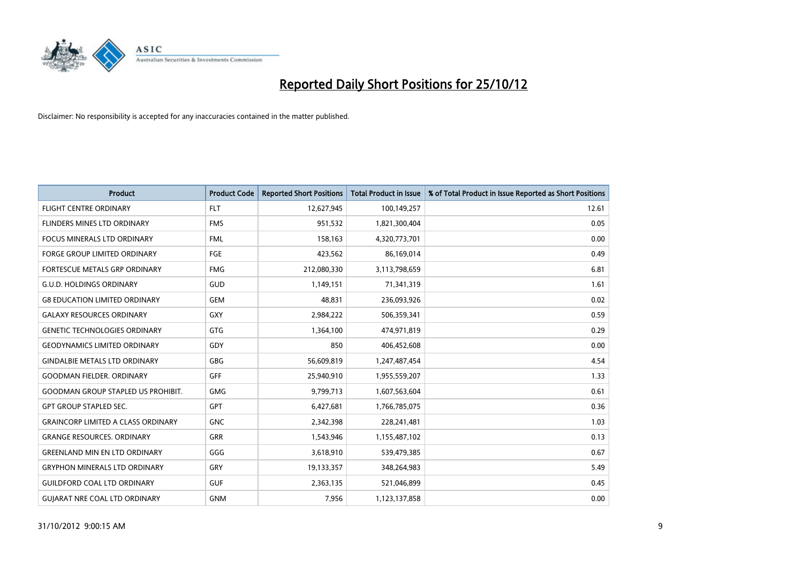

| <b>Product</b>                            | <b>Product Code</b> | <b>Reported Short Positions</b> | <b>Total Product in Issue</b> | % of Total Product in Issue Reported as Short Positions |
|-------------------------------------------|---------------------|---------------------------------|-------------------------------|---------------------------------------------------------|
| <b>FLIGHT CENTRE ORDINARY</b>             | <b>FLT</b>          | 12,627,945                      | 100,149,257                   | 12.61                                                   |
| FLINDERS MINES LTD ORDINARY               | <b>FMS</b>          | 951,532                         | 1,821,300,404                 | 0.05                                                    |
| <b>FOCUS MINERALS LTD ORDINARY</b>        | <b>FML</b>          | 158,163                         | 4,320,773,701                 | 0.00                                                    |
| <b>FORGE GROUP LIMITED ORDINARY</b>       | FGE                 | 423,562                         | 86,169,014                    | 0.49                                                    |
| FORTESCUE METALS GRP ORDINARY             | <b>FMG</b>          | 212,080,330                     | 3,113,798,659                 | 6.81                                                    |
| <b>G.U.D. HOLDINGS ORDINARY</b>           | <b>GUD</b>          | 1,149,151                       | 71,341,319                    | 1.61                                                    |
| <b>G8 EDUCATION LIMITED ORDINARY</b>      | <b>GEM</b>          | 48.831                          | 236,093,926                   | 0.02                                                    |
| <b>GALAXY RESOURCES ORDINARY</b>          | GXY                 | 2,984,222                       | 506,359,341                   | 0.59                                                    |
| <b>GENETIC TECHNOLOGIES ORDINARY</b>      | <b>GTG</b>          | 1,364,100                       | 474,971,819                   | 0.29                                                    |
| <b>GEODYNAMICS LIMITED ORDINARY</b>       | GDY                 | 850                             | 406,452,608                   | 0.00                                                    |
| <b>GINDALBIE METALS LTD ORDINARY</b>      | <b>GBG</b>          | 56,609,819                      | 1,247,487,454                 | 4.54                                                    |
| <b>GOODMAN FIELDER. ORDINARY</b>          | <b>GFF</b>          | 25,940,910                      | 1,955,559,207                 | 1.33                                                    |
| <b>GOODMAN GROUP STAPLED US PROHIBIT.</b> | <b>GMG</b>          | 9,799,713                       | 1,607,563,604                 | 0.61                                                    |
| <b>GPT GROUP STAPLED SEC.</b>             | <b>GPT</b>          | 6,427,681                       | 1,766,785,075                 | 0.36                                                    |
| <b>GRAINCORP LIMITED A CLASS ORDINARY</b> | <b>GNC</b>          | 2,342,398                       | 228,241,481                   | 1.03                                                    |
| <b>GRANGE RESOURCES, ORDINARY</b>         | <b>GRR</b>          | 1,543,946                       | 1,155,487,102                 | 0.13                                                    |
| <b>GREENLAND MIN EN LTD ORDINARY</b>      | GGG                 | 3,618,910                       | 539,479,385                   | 0.67                                                    |
| <b>GRYPHON MINERALS LTD ORDINARY</b>      | GRY                 | 19,133,357                      | 348,264,983                   | 5.49                                                    |
| <b>GUILDFORD COAL LTD ORDINARY</b>        | <b>GUF</b>          | 2,363,135                       | 521,046,899                   | 0.45                                                    |
| <b>GUIARAT NRE COAL LTD ORDINARY</b>      | <b>GNM</b>          | 7,956                           | 1,123,137,858                 | 0.00                                                    |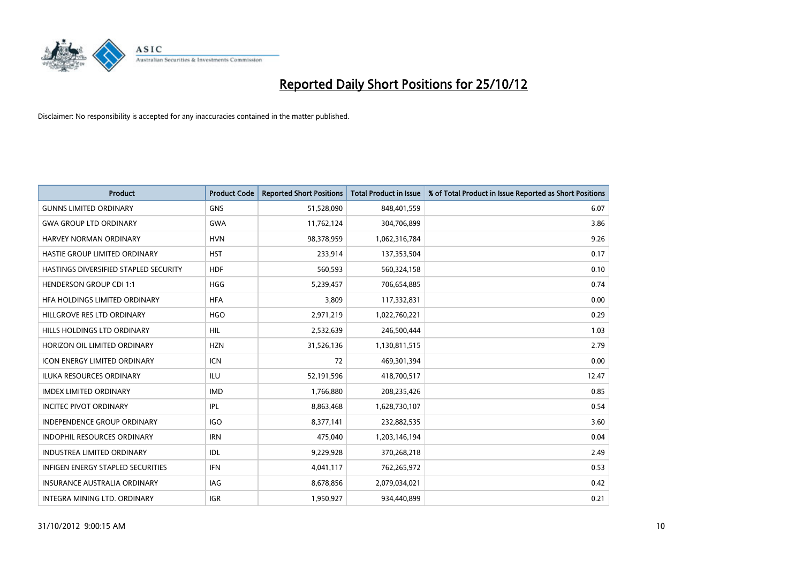

| <b>Product</b>                        | <b>Product Code</b> | <b>Reported Short Positions</b> | <b>Total Product in Issue</b> | % of Total Product in Issue Reported as Short Positions |
|---------------------------------------|---------------------|---------------------------------|-------------------------------|---------------------------------------------------------|
| <b>GUNNS LIMITED ORDINARY</b>         | <b>GNS</b>          | 51,528,090                      | 848,401,559                   | 6.07                                                    |
| <b>GWA GROUP LTD ORDINARY</b>         | <b>GWA</b>          | 11,762,124                      | 304,706,899                   | 3.86                                                    |
| HARVEY NORMAN ORDINARY                | <b>HVN</b>          | 98,378,959                      | 1,062,316,784                 | 9.26                                                    |
| HASTIE GROUP LIMITED ORDINARY         | <b>HST</b>          | 233,914                         | 137,353,504                   | 0.17                                                    |
| HASTINGS DIVERSIFIED STAPLED SECURITY | <b>HDF</b>          | 560,593                         | 560,324,158                   | 0.10                                                    |
| <b>HENDERSON GROUP CDI 1:1</b>        | <b>HGG</b>          | 5,239,457                       | 706,654,885                   | 0.74                                                    |
| HEA HOLDINGS LIMITED ORDINARY         | <b>HFA</b>          | 3,809                           | 117,332,831                   | 0.00                                                    |
| HILLGROVE RES LTD ORDINARY            | <b>HGO</b>          | 2,971,219                       | 1,022,760,221                 | 0.29                                                    |
| HILLS HOLDINGS LTD ORDINARY           | <b>HIL</b>          | 2,532,639                       | 246,500,444                   | 1.03                                                    |
| HORIZON OIL LIMITED ORDINARY          | <b>HZN</b>          | 31,526,136                      | 1,130,811,515                 | 2.79                                                    |
| ICON ENERGY LIMITED ORDINARY          | <b>ICN</b>          | 72                              | 469,301,394                   | 0.00                                                    |
| <b>ILUKA RESOURCES ORDINARY</b>       | ILU                 | 52,191,596                      | 418,700,517                   | 12.47                                                   |
| <b>IMDEX LIMITED ORDINARY</b>         | <b>IMD</b>          | 1,766,880                       | 208,235,426                   | 0.85                                                    |
| <b>INCITEC PIVOT ORDINARY</b>         | <b>IPL</b>          | 8,863,468                       | 1,628,730,107                 | 0.54                                                    |
| <b>INDEPENDENCE GROUP ORDINARY</b>    | <b>IGO</b>          | 8,377,141                       | 232,882,535                   | 3.60                                                    |
| INDOPHIL RESOURCES ORDINARY           | <b>IRN</b>          | 475,040                         | 1,203,146,194                 | 0.04                                                    |
| INDUSTREA LIMITED ORDINARY            | IDL                 | 9,229,928                       | 370,268,218                   | 2.49                                                    |
| INFIGEN ENERGY STAPLED SECURITIES     | <b>IFN</b>          | 4,041,117                       | 762,265,972                   | 0.53                                                    |
| <b>INSURANCE AUSTRALIA ORDINARY</b>   | IAG                 | 8,678,856                       | 2,079,034,021                 | 0.42                                                    |
| INTEGRA MINING LTD. ORDINARY          | <b>IGR</b>          | 1,950,927                       | 934,440,899                   | 0.21                                                    |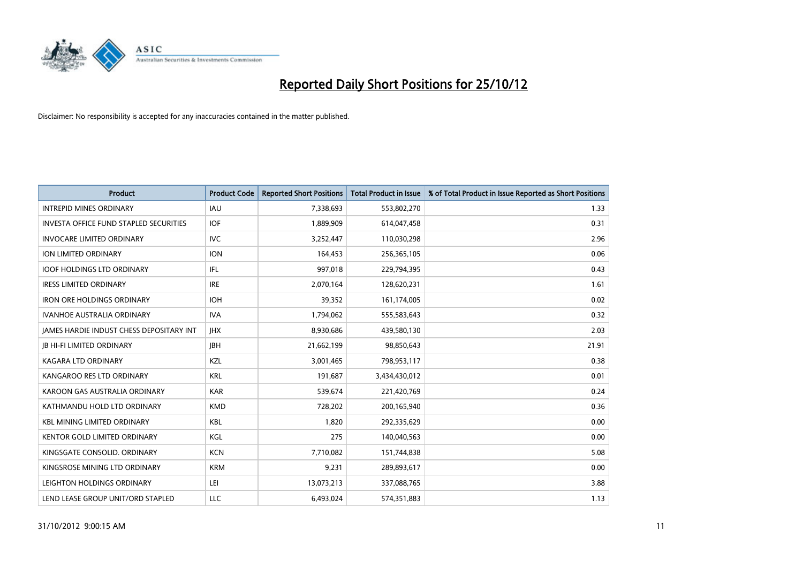

| <b>Product</b>                                  | <b>Product Code</b> | <b>Reported Short Positions</b> | <b>Total Product in Issue</b> | % of Total Product in Issue Reported as Short Positions |
|-------------------------------------------------|---------------------|---------------------------------|-------------------------------|---------------------------------------------------------|
| <b>INTREPID MINES ORDINARY</b>                  | <b>IAU</b>          | 7,338,693                       | 553,802,270                   | 1.33                                                    |
| <b>INVESTA OFFICE FUND STAPLED SECURITIES</b>   | <b>IOF</b>          | 1,889,909                       | 614,047,458                   | 0.31                                                    |
| <b>INVOCARE LIMITED ORDINARY</b>                | IVC                 | 3,252,447                       | 110,030,298                   | 2.96                                                    |
| ION LIMITED ORDINARY                            | <b>ION</b>          | 164,453                         | 256,365,105                   | 0.06                                                    |
| <b>IOOF HOLDINGS LTD ORDINARY</b>               | IFL.                | 997,018                         | 229,794,395                   | 0.43                                                    |
| <b>IRESS LIMITED ORDINARY</b>                   | <b>IRE</b>          | 2,070,164                       | 128,620,231                   | 1.61                                                    |
| <b>IRON ORE HOLDINGS ORDINARY</b>               | <b>IOH</b>          | 39,352                          | 161,174,005                   | 0.02                                                    |
| <b>IVANHOE AUSTRALIA ORDINARY</b>               | <b>IVA</b>          | 1,794,062                       | 555,583,643                   | 0.32                                                    |
| <b>JAMES HARDIE INDUST CHESS DEPOSITARY INT</b> | <b>IHX</b>          | 8,930,686                       | 439,580,130                   | 2.03                                                    |
| <b>IB HI-FI LIMITED ORDINARY</b>                | <b>IBH</b>          | 21,662,199                      | 98,850,643                    | 21.91                                                   |
| KAGARA LTD ORDINARY                             | KZL                 | 3,001,465                       | 798,953,117                   | 0.38                                                    |
| KANGAROO RES LTD ORDINARY                       | <b>KRL</b>          | 191,687                         | 3,434,430,012                 | 0.01                                                    |
| KAROON GAS AUSTRALIA ORDINARY                   | <b>KAR</b>          | 539,674                         | 221,420,769                   | 0.24                                                    |
| KATHMANDU HOLD LTD ORDINARY                     | <b>KMD</b>          | 728,202                         | 200,165,940                   | 0.36                                                    |
| <b>KBL MINING LIMITED ORDINARY</b>              | <b>KBL</b>          | 1,820                           | 292,335,629                   | 0.00                                                    |
| KENTOR GOLD LIMITED ORDINARY                    | KGL                 | 275                             | 140,040,563                   | 0.00                                                    |
| KINGSGATE CONSOLID. ORDINARY                    | <b>KCN</b>          | 7,710,082                       | 151,744,838                   | 5.08                                                    |
| KINGSROSE MINING LTD ORDINARY                   | <b>KRM</b>          | 9,231                           | 289,893,617                   | 0.00                                                    |
| LEIGHTON HOLDINGS ORDINARY                      | LEI                 | 13,073,213                      | 337,088,765                   | 3.88                                                    |
| LEND LEASE GROUP UNIT/ORD STAPLED               | LLC                 | 6,493,024                       | 574,351,883                   | 1.13                                                    |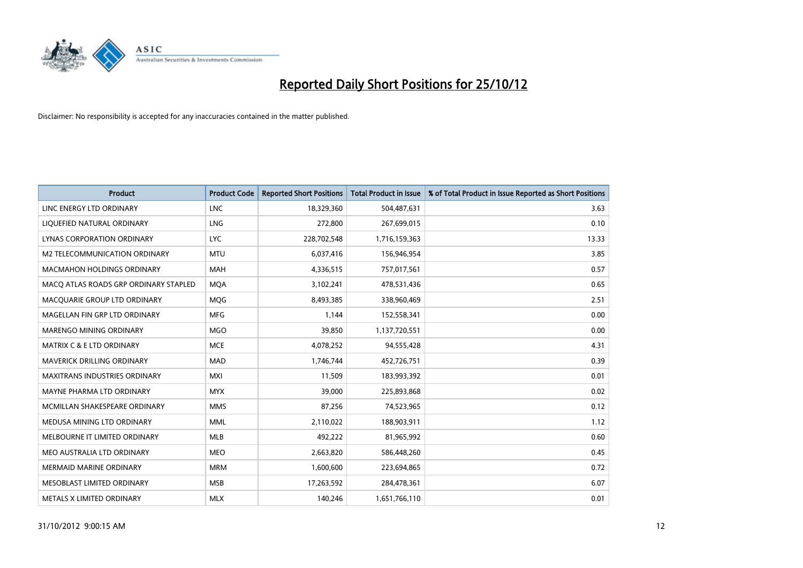

| <b>Product</b>                        | <b>Product Code</b> | <b>Reported Short Positions</b> | <b>Total Product in Issue</b> | % of Total Product in Issue Reported as Short Positions |
|---------------------------------------|---------------------|---------------------------------|-------------------------------|---------------------------------------------------------|
| LINC ENERGY LTD ORDINARY              | <b>LNC</b>          | 18,329,360                      | 504,487,631                   | 3.63                                                    |
| LIQUEFIED NATURAL ORDINARY            | LNG                 | 272,800                         | 267,699,015                   | 0.10                                                    |
| LYNAS CORPORATION ORDINARY            | <b>LYC</b>          | 228,702,548                     | 1,716,159,363                 | 13.33                                                   |
| M2 TELECOMMUNICATION ORDINARY         | <b>MTU</b>          | 6,037,416                       | 156,946,954                   | 3.85                                                    |
| <b>MACMAHON HOLDINGS ORDINARY</b>     | <b>MAH</b>          | 4,336,515                       | 757,017,561                   | 0.57                                                    |
| MACQ ATLAS ROADS GRP ORDINARY STAPLED | <b>MOA</b>          | 3,102,241                       | 478,531,436                   | 0.65                                                    |
| MACQUARIE GROUP LTD ORDINARY          | <b>MOG</b>          | 8,493,385                       | 338,960,469                   | 2.51                                                    |
| MAGELLAN FIN GRP LTD ORDINARY         | <b>MFG</b>          | 1,144                           | 152,558,341                   | 0.00                                                    |
| <b>MARENGO MINING ORDINARY</b>        | <b>MGO</b>          | 39,850                          | 1,137,720,551                 | 0.00                                                    |
| <b>MATRIX C &amp; E LTD ORDINARY</b>  | <b>MCE</b>          | 4,078,252                       | 94,555,428                    | 4.31                                                    |
| MAVERICK DRILLING ORDINARY            | <b>MAD</b>          | 1,746,744                       | 452,726,751                   | 0.39                                                    |
| <b>MAXITRANS INDUSTRIES ORDINARY</b>  | <b>MXI</b>          | 11,509                          | 183,993,392                   | 0.01                                                    |
| MAYNE PHARMA LTD ORDINARY             | <b>MYX</b>          | 39,000                          | 225,893,868                   | 0.02                                                    |
| MCMILLAN SHAKESPEARE ORDINARY         | <b>MMS</b>          | 87,256                          | 74,523,965                    | 0.12                                                    |
| MEDUSA MINING LTD ORDINARY            | <b>MML</b>          | 2,110,022                       | 188,903,911                   | 1.12                                                    |
| MELBOURNE IT LIMITED ORDINARY         | <b>MLB</b>          | 492,222                         | 81,965,992                    | 0.60                                                    |
| MEO AUSTRALIA LTD ORDINARY            | <b>MEO</b>          | 2,663,820                       | 586,448,260                   | 0.45                                                    |
| <b>MERMAID MARINE ORDINARY</b>        | <b>MRM</b>          | 1,600,600                       | 223,694,865                   | 0.72                                                    |
| MESOBLAST LIMITED ORDINARY            | <b>MSB</b>          | 17,263,592                      | 284,478,361                   | 6.07                                                    |
| METALS X LIMITED ORDINARY             | <b>MLX</b>          | 140,246                         | 1,651,766,110                 | 0.01                                                    |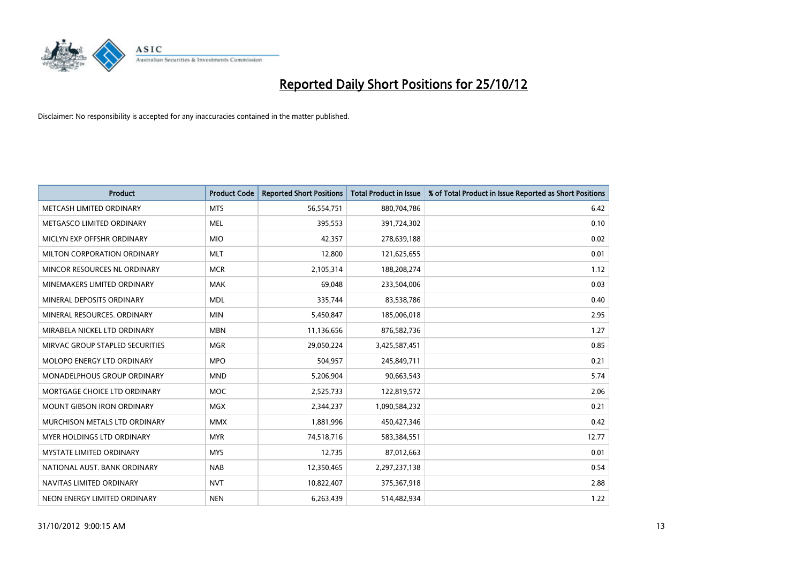

| <b>Product</b>                    | <b>Product Code</b> | <b>Reported Short Positions</b> | <b>Total Product in Issue</b> | % of Total Product in Issue Reported as Short Positions |
|-----------------------------------|---------------------|---------------------------------|-------------------------------|---------------------------------------------------------|
| METCASH LIMITED ORDINARY          | <b>MTS</b>          | 56,554,751                      | 880,704,786                   | 6.42                                                    |
| METGASCO LIMITED ORDINARY         | <b>MEL</b>          | 395,553                         | 391,724,302                   | 0.10                                                    |
| MICLYN EXP OFFSHR ORDINARY        | <b>MIO</b>          | 42,357                          | 278,639,188                   | 0.02                                                    |
| MILTON CORPORATION ORDINARY       | <b>MLT</b>          | 12,800                          | 121,625,655                   | 0.01                                                    |
| MINCOR RESOURCES NL ORDINARY      | <b>MCR</b>          | 2,105,314                       | 188,208,274                   | 1.12                                                    |
| MINEMAKERS LIMITED ORDINARY       | <b>MAK</b>          | 69,048                          | 233,504,006                   | 0.03                                                    |
| MINERAL DEPOSITS ORDINARY         | <b>MDL</b>          | 335,744                         | 83,538,786                    | 0.40                                                    |
| MINERAL RESOURCES, ORDINARY       | <b>MIN</b>          | 5,450,847                       | 185,006,018                   | 2.95                                                    |
| MIRABELA NICKEL LTD ORDINARY      | <b>MBN</b>          | 11,136,656                      | 876,582,736                   | 1.27                                                    |
| MIRVAC GROUP STAPLED SECURITIES   | <b>MGR</b>          | 29,050,224                      | 3,425,587,451                 | 0.85                                                    |
| <b>MOLOPO ENERGY LTD ORDINARY</b> | <b>MPO</b>          | 504,957                         | 245,849,711                   | 0.21                                                    |
| MONADELPHOUS GROUP ORDINARY       | <b>MND</b>          | 5,206,904                       | 90,663,543                    | 5.74                                                    |
| MORTGAGE CHOICE LTD ORDINARY      | <b>MOC</b>          | 2,525,733                       | 122,819,572                   | 2.06                                                    |
| <b>MOUNT GIBSON IRON ORDINARY</b> | <b>MGX</b>          | 2,344,237                       | 1,090,584,232                 | 0.21                                                    |
| MURCHISON METALS LTD ORDINARY     | <b>MMX</b>          | 1,881,996                       | 450,427,346                   | 0.42                                                    |
| <b>MYER HOLDINGS LTD ORDINARY</b> | <b>MYR</b>          | 74,518,716                      | 583,384,551                   | 12.77                                                   |
| MYSTATE LIMITED ORDINARY          | <b>MYS</b>          | 12,735                          | 87,012,663                    | 0.01                                                    |
| NATIONAL AUST, BANK ORDINARY      | <b>NAB</b>          | 12,350,465                      | 2,297,237,138                 | 0.54                                                    |
| NAVITAS LIMITED ORDINARY          | <b>NVT</b>          | 10,822,407                      | 375,367,918                   | 2.88                                                    |
| NEON ENERGY LIMITED ORDINARY      | <b>NEN</b>          | 6,263,439                       | 514,482,934                   | 1.22                                                    |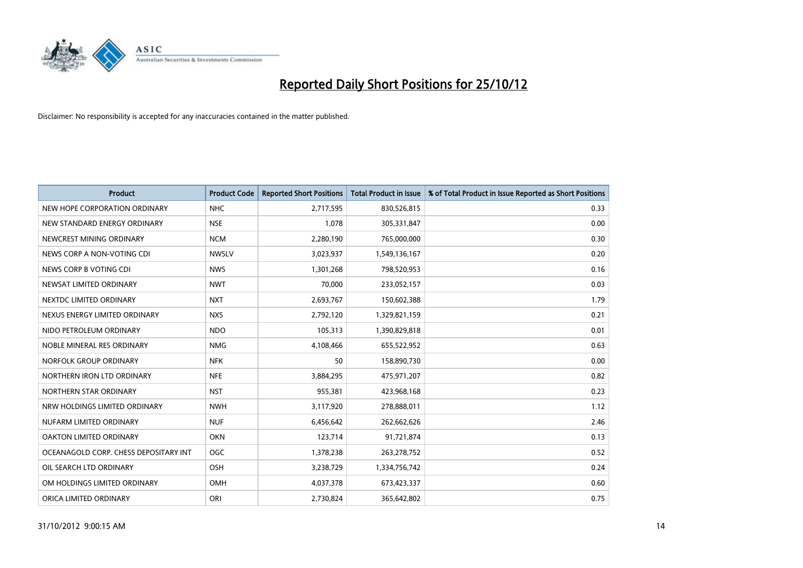

| <b>Product</b>                        | <b>Product Code</b> | <b>Reported Short Positions</b> | <b>Total Product in Issue</b> | % of Total Product in Issue Reported as Short Positions |
|---------------------------------------|---------------------|---------------------------------|-------------------------------|---------------------------------------------------------|
| NEW HOPE CORPORATION ORDINARY         | <b>NHC</b>          | 2,717,595                       | 830,526,815                   | 0.33                                                    |
| NEW STANDARD ENERGY ORDINARY          | <b>NSE</b>          | 1,078                           | 305,331,847                   | 0.00                                                    |
| NEWCREST MINING ORDINARY              | <b>NCM</b>          | 2,280,190                       | 765,000,000                   | 0.30                                                    |
| NEWS CORP A NON-VOTING CDI            | <b>NWSLV</b>        | 3,023,937                       | 1,549,136,167                 | 0.20                                                    |
| NEWS CORP B VOTING CDI                | <b>NWS</b>          | 1,301,268                       | 798,520,953                   | 0.16                                                    |
| NEWSAT LIMITED ORDINARY               | <b>NWT</b>          | 70,000                          | 233,052,157                   | 0.03                                                    |
| NEXTDC LIMITED ORDINARY               | <b>NXT</b>          | 2,693,767                       | 150,602,388                   | 1.79                                                    |
| NEXUS ENERGY LIMITED ORDINARY         | <b>NXS</b>          | 2,792,120                       | 1,329,821,159                 | 0.21                                                    |
| NIDO PETROLEUM ORDINARY               | <b>NDO</b>          | 105,313                         | 1,390,829,818                 | 0.01                                                    |
| NOBLE MINERAL RES ORDINARY            | <b>NMG</b>          | 4,108,466                       | 655,522,952                   | 0.63                                                    |
| NORFOLK GROUP ORDINARY                | <b>NFK</b>          | 50                              | 158,890,730                   | 0.00                                                    |
| NORTHERN IRON LTD ORDINARY            | <b>NFE</b>          | 3,884,295                       | 475,971,207                   | 0.82                                                    |
| NORTHERN STAR ORDINARY                | <b>NST</b>          | 955,381                         | 423,968,168                   | 0.23                                                    |
| NRW HOLDINGS LIMITED ORDINARY         | <b>NWH</b>          | 3,117,920                       | 278,888,011                   | 1.12                                                    |
| NUFARM LIMITED ORDINARY               | <b>NUF</b>          | 6,456,642                       | 262,662,626                   | 2.46                                                    |
| OAKTON LIMITED ORDINARY               | <b>OKN</b>          | 123,714                         | 91,721,874                    | 0.13                                                    |
| OCEANAGOLD CORP. CHESS DEPOSITARY INT | <b>OGC</b>          | 1,378,238                       | 263,278,752                   | 0.52                                                    |
| OIL SEARCH LTD ORDINARY               | OSH                 | 3,238,729                       | 1,334,756,742                 | 0.24                                                    |
| OM HOLDINGS LIMITED ORDINARY          | OMH                 | 4,037,378                       | 673,423,337                   | 0.60                                                    |
| ORICA LIMITED ORDINARY                | ORI                 | 2,730,824                       | 365,642,802                   | 0.75                                                    |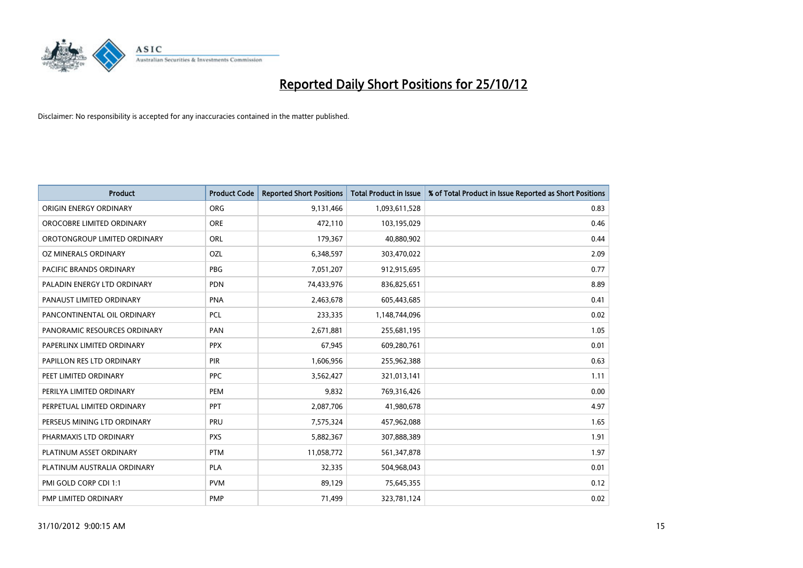

| <b>Product</b>               | <b>Product Code</b> | <b>Reported Short Positions</b> | <b>Total Product in Issue</b> | % of Total Product in Issue Reported as Short Positions |
|------------------------------|---------------------|---------------------------------|-------------------------------|---------------------------------------------------------|
| ORIGIN ENERGY ORDINARY       | <b>ORG</b>          | 9,131,466                       | 1,093,611,528                 | 0.83                                                    |
| OROCOBRE LIMITED ORDINARY    | <b>ORE</b>          | 472,110                         | 103,195,029                   | 0.46                                                    |
| OROTONGROUP LIMITED ORDINARY | ORL                 | 179,367                         | 40,880,902                    | 0.44                                                    |
| OZ MINERALS ORDINARY         | OZL                 | 6,348,597                       | 303,470,022                   | 2.09                                                    |
| PACIFIC BRANDS ORDINARY      | <b>PBG</b>          | 7,051,207                       | 912,915,695                   | 0.77                                                    |
| PALADIN ENERGY LTD ORDINARY  | <b>PDN</b>          | 74,433,976                      | 836,825,651                   | 8.89                                                    |
| PANAUST LIMITED ORDINARY     | <b>PNA</b>          | 2,463,678                       | 605,443,685                   | 0.41                                                    |
| PANCONTINENTAL OIL ORDINARY  | <b>PCL</b>          | 233,335                         | 1,148,744,096                 | 0.02                                                    |
| PANORAMIC RESOURCES ORDINARY | PAN                 | 2,671,881                       | 255,681,195                   | 1.05                                                    |
| PAPERLINX LIMITED ORDINARY   | <b>PPX</b>          | 67,945                          | 609,280,761                   | 0.01                                                    |
| PAPILLON RES LTD ORDINARY    | <b>PIR</b>          | 1,606,956                       | 255,962,388                   | 0.63                                                    |
| PEET LIMITED ORDINARY        | <b>PPC</b>          | 3,562,427                       | 321,013,141                   | 1.11                                                    |
| PERILYA LIMITED ORDINARY     | PEM                 | 9,832                           | 769,316,426                   | 0.00                                                    |
| PERPETUAL LIMITED ORDINARY   | PPT                 | 2,087,706                       | 41,980,678                    | 4.97                                                    |
| PERSEUS MINING LTD ORDINARY  | PRU                 | 7,575,324                       | 457,962,088                   | 1.65                                                    |
| PHARMAXIS LTD ORDINARY       | <b>PXS</b>          | 5,882,367                       | 307,888,389                   | 1.91                                                    |
| PLATINUM ASSET ORDINARY      | <b>PTM</b>          | 11,058,772                      | 561,347,878                   | 1.97                                                    |
| PLATINUM AUSTRALIA ORDINARY  | <b>PLA</b>          | 32,335                          | 504,968,043                   | 0.01                                                    |
| PMI GOLD CORP CDI 1:1        | <b>PVM</b>          | 89,129                          | 75,645,355                    | 0.12                                                    |
| PMP LIMITED ORDINARY         | <b>PMP</b>          | 71,499                          | 323,781,124                   | 0.02                                                    |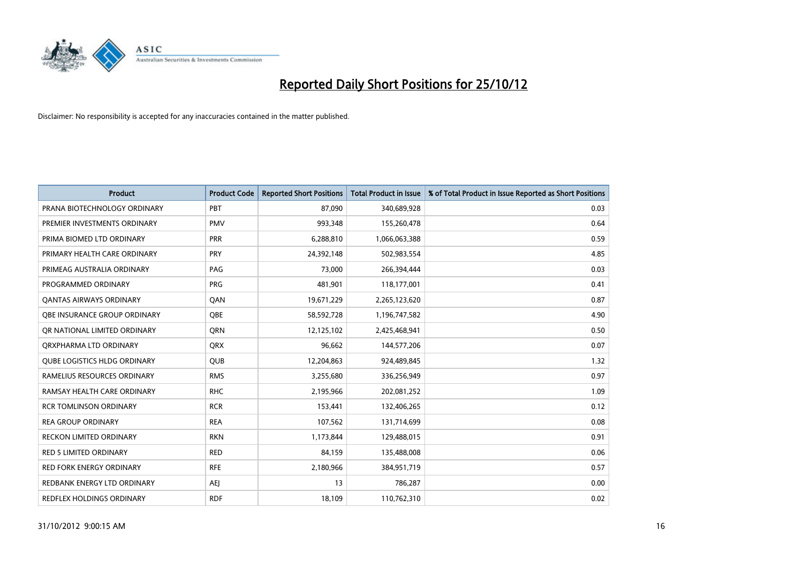

| <b>Product</b>                      | <b>Product Code</b> | <b>Reported Short Positions</b> | <b>Total Product in Issue</b> | % of Total Product in Issue Reported as Short Positions |
|-------------------------------------|---------------------|---------------------------------|-------------------------------|---------------------------------------------------------|
| PRANA BIOTECHNOLOGY ORDINARY        | PBT                 | 87,090                          | 340,689,928                   | 0.03                                                    |
| PREMIER INVESTMENTS ORDINARY        | <b>PMV</b>          | 993,348                         | 155,260,478                   | 0.64                                                    |
| PRIMA BIOMED LTD ORDINARY           | <b>PRR</b>          | 6,288,810                       | 1,066,063,388                 | 0.59                                                    |
| PRIMARY HEALTH CARE ORDINARY        | <b>PRY</b>          | 24,392,148                      | 502,983,554                   | 4.85                                                    |
| PRIMEAG AUSTRALIA ORDINARY          | PAG                 | 73,000                          | 266,394,444                   | 0.03                                                    |
| PROGRAMMED ORDINARY                 | <b>PRG</b>          | 481,901                         | 118,177,001                   | 0.41                                                    |
| <b>QANTAS AIRWAYS ORDINARY</b>      | QAN                 | 19,671,229                      | 2,265,123,620                 | 0.87                                                    |
| <b>OBE INSURANCE GROUP ORDINARY</b> | OBE                 | 58,592,728                      | 1,196,747,582                 | 4.90                                                    |
| OR NATIONAL LIMITED ORDINARY        | <b>ORN</b>          | 12,125,102                      | 2,425,468,941                 | 0.50                                                    |
| ORXPHARMA LTD ORDINARY              | <b>ORX</b>          | 96,662                          | 144,577,206                   | 0.07                                                    |
| QUBE LOGISTICS HLDG ORDINARY        | <b>QUB</b>          | 12,204,863                      | 924,489,845                   | 1.32                                                    |
| RAMELIUS RESOURCES ORDINARY         | <b>RMS</b>          | 3,255,680                       | 336,256,949                   | 0.97                                                    |
| RAMSAY HEALTH CARE ORDINARY         | <b>RHC</b>          | 2,195,966                       | 202,081,252                   | 1.09                                                    |
| <b>RCR TOMLINSON ORDINARY</b>       | <b>RCR</b>          | 153,441                         | 132,406,265                   | 0.12                                                    |
| <b>REA GROUP ORDINARY</b>           | <b>REA</b>          | 107,562                         | 131,714,699                   | 0.08                                                    |
| <b>RECKON LIMITED ORDINARY</b>      | <b>RKN</b>          | 1,173,844                       | 129,488,015                   | 0.91                                                    |
| <b>RED 5 LIMITED ORDINARY</b>       | <b>RED</b>          | 84,159                          | 135,488,008                   | 0.06                                                    |
| RED FORK ENERGY ORDINARY            | <b>RFE</b>          | 2,180,966                       | 384,951,719                   | 0.57                                                    |
| REDBANK ENERGY LTD ORDINARY         | <b>AEI</b>          | 13                              | 786,287                       | 0.00                                                    |
| REDFLEX HOLDINGS ORDINARY           | <b>RDF</b>          | 18,109                          | 110,762,310                   | 0.02                                                    |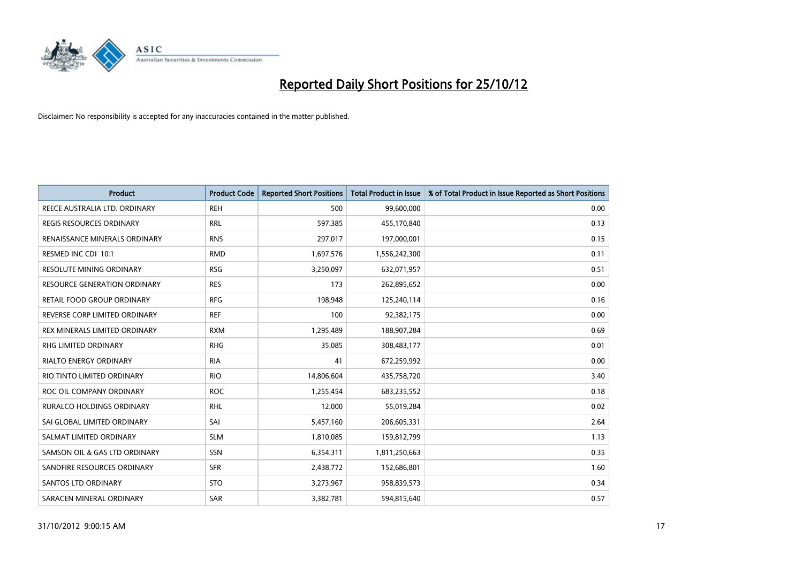

| <b>Product</b>                      | <b>Product Code</b> | <b>Reported Short Positions</b> | <b>Total Product in Issue</b> | % of Total Product in Issue Reported as Short Positions |
|-------------------------------------|---------------------|---------------------------------|-------------------------------|---------------------------------------------------------|
| REECE AUSTRALIA LTD. ORDINARY       | <b>REH</b>          | 500                             | 99,600,000                    | 0.00                                                    |
| REGIS RESOURCES ORDINARY            | <b>RRL</b>          | 597,385                         | 455,170,840                   | 0.13                                                    |
| RENAISSANCE MINERALS ORDINARY       | <b>RNS</b>          | 297,017                         | 197,000,001                   | 0.15                                                    |
| RESMED INC CDI 10:1                 | <b>RMD</b>          | 1,697,576                       | 1,556,242,300                 | 0.11                                                    |
| <b>RESOLUTE MINING ORDINARY</b>     | <b>RSG</b>          | 3,250,097                       | 632,071,957                   | 0.51                                                    |
| <b>RESOURCE GENERATION ORDINARY</b> | <b>RES</b>          | 173                             | 262,895,652                   | 0.00                                                    |
| RETAIL FOOD GROUP ORDINARY          | <b>RFG</b>          | 198,948                         | 125,240,114                   | 0.16                                                    |
| REVERSE CORP LIMITED ORDINARY       | <b>REF</b>          | 100                             | 92,382,175                    | 0.00                                                    |
| REX MINERALS LIMITED ORDINARY       | <b>RXM</b>          | 1,295,489                       | 188,907,284                   | 0.69                                                    |
| <b>RHG LIMITED ORDINARY</b>         | <b>RHG</b>          | 35,085                          | 308,483,177                   | 0.01                                                    |
| RIALTO ENERGY ORDINARY              | <b>RIA</b>          | 41                              | 672,259,992                   | 0.00                                                    |
| RIO TINTO LIMITED ORDINARY          | <b>RIO</b>          | 14,806,604                      | 435,758,720                   | 3.40                                                    |
| ROC OIL COMPANY ORDINARY            | <b>ROC</b>          | 1,255,454                       | 683,235,552                   | 0.18                                                    |
| <b>RURALCO HOLDINGS ORDINARY</b>    | <b>RHL</b>          | 12,000                          | 55,019,284                    | 0.02                                                    |
| SAI GLOBAL LIMITED ORDINARY         | SAI                 | 5,457,160                       | 206,605,331                   | 2.64                                                    |
| SALMAT LIMITED ORDINARY             | <b>SLM</b>          | 1,810,085                       | 159,812,799                   | 1.13                                                    |
| SAMSON OIL & GAS LTD ORDINARY       | SSN                 | 6,354,311                       | 1,811,250,663                 | 0.35                                                    |
| SANDFIRE RESOURCES ORDINARY         | <b>SFR</b>          | 2,438,772                       | 152,686,801                   | 1.60                                                    |
| <b>SANTOS LTD ORDINARY</b>          | <b>STO</b>          | 3,273,967                       | 958,839,573                   | 0.34                                                    |
| SARACEN MINERAL ORDINARY            | SAR                 | 3,382,781                       | 594,815,640                   | 0.57                                                    |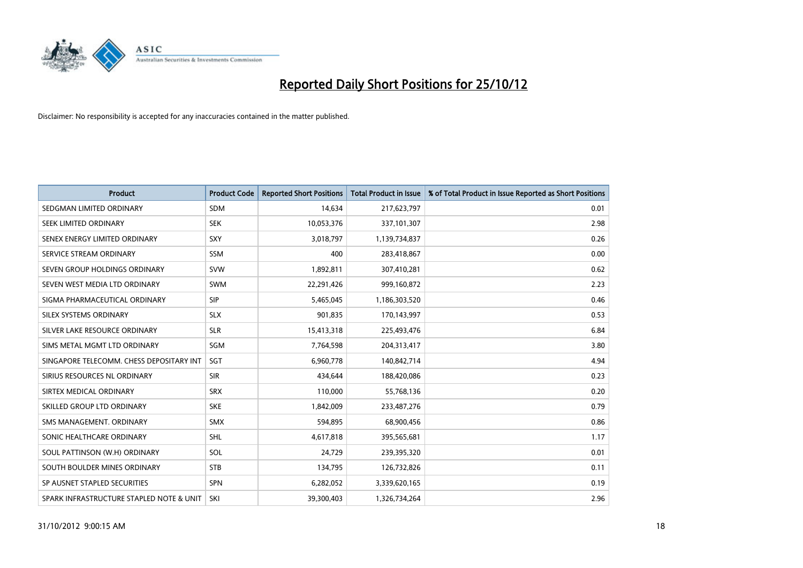

| <b>Product</b>                           | <b>Product Code</b> | <b>Reported Short Positions</b> | <b>Total Product in Issue</b> | % of Total Product in Issue Reported as Short Positions |
|------------------------------------------|---------------------|---------------------------------|-------------------------------|---------------------------------------------------------|
| SEDGMAN LIMITED ORDINARY                 | <b>SDM</b>          | 14,634                          | 217,623,797                   | 0.01                                                    |
| SEEK LIMITED ORDINARY                    | <b>SEK</b>          | 10,053,376                      | 337,101,307                   | 2.98                                                    |
| SENEX ENERGY LIMITED ORDINARY            | <b>SXY</b>          | 3,018,797                       | 1,139,734,837                 | 0.26                                                    |
| SERVICE STREAM ORDINARY                  | <b>SSM</b>          | 400                             | 283,418,867                   | 0.00                                                    |
| SEVEN GROUP HOLDINGS ORDINARY            | <b>SVW</b>          | 1,892,811                       | 307,410,281                   | 0.62                                                    |
| SEVEN WEST MEDIA LTD ORDINARY            | <b>SWM</b>          | 22,291,426                      | 999,160,872                   | 2.23                                                    |
| SIGMA PHARMACEUTICAL ORDINARY            | <b>SIP</b>          | 5,465,045                       | 1,186,303,520                 | 0.46                                                    |
| SILEX SYSTEMS ORDINARY                   | <b>SLX</b>          | 901,835                         | 170,143,997                   | 0.53                                                    |
| SILVER LAKE RESOURCE ORDINARY            | <b>SLR</b>          | 15,413,318                      | 225,493,476                   | 6.84                                                    |
| SIMS METAL MGMT LTD ORDINARY             | <b>SGM</b>          | 7,764,598                       | 204,313,417                   | 3.80                                                    |
| SINGAPORE TELECOMM. CHESS DEPOSITARY INT | SGT                 | 6,960,778                       | 140,842,714                   | 4.94                                                    |
| SIRIUS RESOURCES NL ORDINARY             | <b>SIR</b>          | 434,644                         | 188,420,086                   | 0.23                                                    |
| SIRTEX MEDICAL ORDINARY                  | <b>SRX</b>          | 110,000                         | 55,768,136                    | 0.20                                                    |
| SKILLED GROUP LTD ORDINARY               | <b>SKE</b>          | 1,842,009                       | 233,487,276                   | 0.79                                                    |
| SMS MANAGEMENT, ORDINARY                 | <b>SMX</b>          | 594,895                         | 68,900,456                    | 0.86                                                    |
| SONIC HEALTHCARE ORDINARY                | <b>SHL</b>          | 4,617,818                       | 395,565,681                   | 1.17                                                    |
| SOUL PATTINSON (W.H) ORDINARY            | SOL                 | 24,729                          | 239,395,320                   | 0.01                                                    |
| SOUTH BOULDER MINES ORDINARY             | <b>STB</b>          | 134,795                         | 126,732,826                   | 0.11                                                    |
| SP AUSNET STAPLED SECURITIES             | <b>SPN</b>          | 6,282,052                       | 3,339,620,165                 | 0.19                                                    |
| SPARK INFRASTRUCTURE STAPLED NOTE & UNIT | SKI                 | 39,300,403                      | 1,326,734,264                 | 2.96                                                    |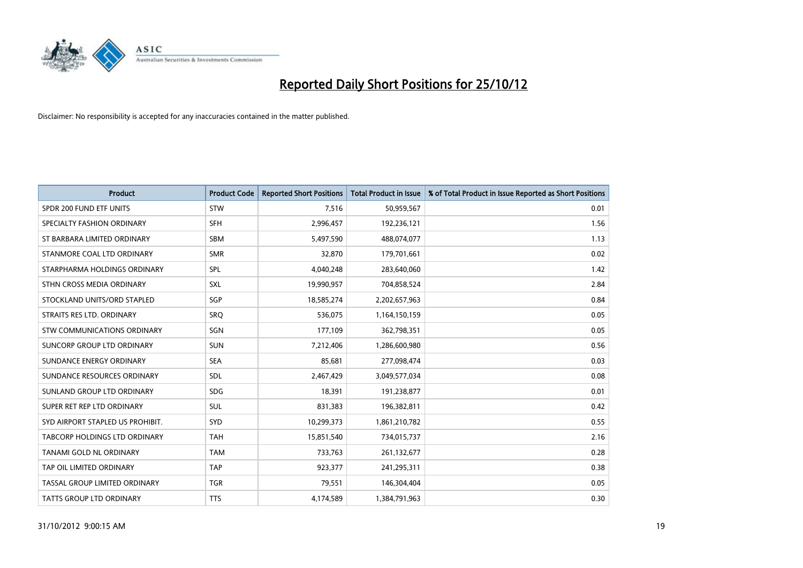

| <b>Product</b>                   | <b>Product Code</b> | <b>Reported Short Positions</b> | <b>Total Product in Issue</b> | % of Total Product in Issue Reported as Short Positions |
|----------------------------------|---------------------|---------------------------------|-------------------------------|---------------------------------------------------------|
| SPDR 200 FUND ETF UNITS          | <b>STW</b>          | 7,516                           | 50,959,567                    | 0.01                                                    |
| SPECIALTY FASHION ORDINARY       | <b>SFH</b>          | 2,996,457                       | 192,236,121                   | 1.56                                                    |
| ST BARBARA LIMITED ORDINARY      | <b>SBM</b>          | 5,497,590                       | 488,074,077                   | 1.13                                                    |
| STANMORE COAL LTD ORDINARY       | <b>SMR</b>          | 32,870                          | 179,701,661                   | 0.02                                                    |
| STARPHARMA HOLDINGS ORDINARY     | <b>SPL</b>          | 4,040,248                       | 283,640,060                   | 1.42                                                    |
| STHN CROSS MEDIA ORDINARY        | <b>SXL</b>          | 19,990,957                      | 704,858,524                   | 2.84                                                    |
| STOCKLAND UNITS/ORD STAPLED      | SGP                 | 18,585,274                      | 2,202,657,963                 | 0.84                                                    |
| STRAITS RES LTD. ORDINARY        | SRQ                 | 536,075                         | 1,164,150,159                 | 0.05                                                    |
| STW COMMUNICATIONS ORDINARY      | SGN                 | 177,109                         | 362,798,351                   | 0.05                                                    |
| SUNCORP GROUP LTD ORDINARY       | <b>SUN</b>          | 7,212,406                       | 1,286,600,980                 | 0.56                                                    |
| SUNDANCE ENERGY ORDINARY         | <b>SEA</b>          | 85,681                          | 277,098,474                   | 0.03                                                    |
| SUNDANCE RESOURCES ORDINARY      | <b>SDL</b>          | 2,467,429                       | 3,049,577,034                 | 0.08                                                    |
| SUNLAND GROUP LTD ORDINARY       | <b>SDG</b>          | 18,391                          | 191,238,877                   | 0.01                                                    |
| SUPER RET REP LTD ORDINARY       | <b>SUL</b>          | 831,383                         | 196,382,811                   | 0.42                                                    |
| SYD AIRPORT STAPLED US PROHIBIT. | <b>SYD</b>          | 10,299,373                      | 1,861,210,782                 | 0.55                                                    |
| TABCORP HOLDINGS LTD ORDINARY    | <b>TAH</b>          | 15,851,540                      | 734,015,737                   | 2.16                                                    |
| TANAMI GOLD NL ORDINARY          | <b>TAM</b>          | 733,763                         | 261,132,677                   | 0.28                                                    |
| TAP OIL LIMITED ORDINARY         | <b>TAP</b>          | 923,377                         | 241,295,311                   | 0.38                                                    |
| TASSAL GROUP LIMITED ORDINARY    | <b>TGR</b>          | 79,551                          | 146,304,404                   | 0.05                                                    |
| <b>TATTS GROUP LTD ORDINARY</b>  | <b>TTS</b>          | 4,174,589                       | 1,384,791,963                 | 0.30                                                    |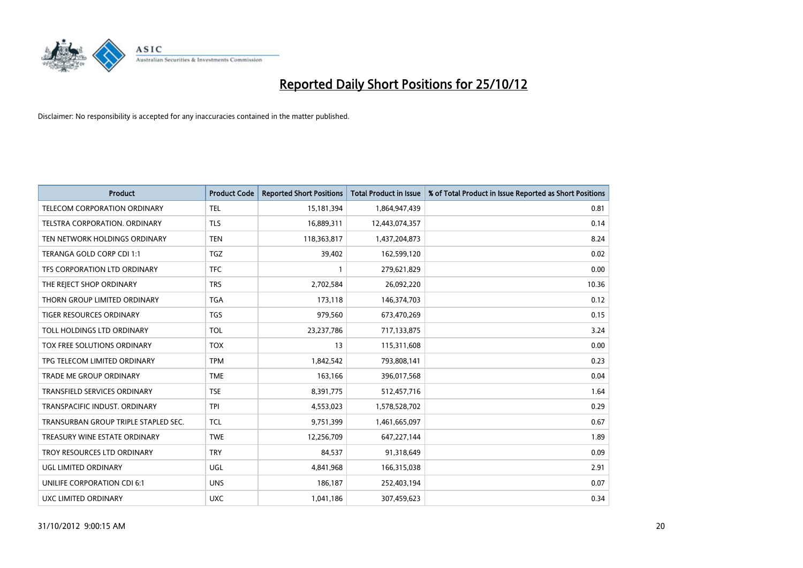

| <b>Product</b>                       | <b>Product Code</b> | <b>Reported Short Positions</b> | <b>Total Product in Issue</b> | % of Total Product in Issue Reported as Short Positions |
|--------------------------------------|---------------------|---------------------------------|-------------------------------|---------------------------------------------------------|
| <b>TELECOM CORPORATION ORDINARY</b>  | <b>TEL</b>          | 15,181,394                      | 1,864,947,439                 | 0.81                                                    |
| TELSTRA CORPORATION, ORDINARY        | <b>TLS</b>          | 16,889,311                      | 12,443,074,357                | 0.14                                                    |
| TEN NETWORK HOLDINGS ORDINARY        | <b>TEN</b>          | 118,363,817                     | 1,437,204,873                 | 8.24                                                    |
| TERANGA GOLD CORP CDI 1:1            | <b>TGZ</b>          | 39,402                          | 162,599,120                   | 0.02                                                    |
| TFS CORPORATION LTD ORDINARY         | <b>TFC</b>          |                                 | 279,621,829                   | 0.00                                                    |
| THE REJECT SHOP ORDINARY             | <b>TRS</b>          | 2,702,584                       | 26,092,220                    | 10.36                                                   |
| THORN GROUP LIMITED ORDINARY         | <b>TGA</b>          | 173,118                         | 146,374,703                   | 0.12                                                    |
| TIGER RESOURCES ORDINARY             | <b>TGS</b>          | 979,560                         | 673,470,269                   | 0.15                                                    |
| TOLL HOLDINGS LTD ORDINARY           | <b>TOL</b>          | 23,237,786                      | 717,133,875                   | 3.24                                                    |
| TOX FREE SOLUTIONS ORDINARY          | <b>TOX</b>          | 13                              | 115,311,608                   | 0.00                                                    |
| TPG TELECOM LIMITED ORDINARY         | <b>TPM</b>          | 1,842,542                       | 793,808,141                   | 0.23                                                    |
| TRADE ME GROUP ORDINARY              | <b>TME</b>          | 163,166                         | 396,017,568                   | 0.04                                                    |
| TRANSFIELD SERVICES ORDINARY         | <b>TSE</b>          | 8,391,775                       | 512,457,716                   | 1.64                                                    |
| TRANSPACIFIC INDUST, ORDINARY        | <b>TPI</b>          | 4,553,023                       | 1,578,528,702                 | 0.29                                                    |
| TRANSURBAN GROUP TRIPLE STAPLED SEC. | <b>TCL</b>          | 9,751,399                       | 1,461,665,097                 | 0.67                                                    |
| TREASURY WINE ESTATE ORDINARY        | <b>TWE</b>          | 12,256,709                      | 647,227,144                   | 1.89                                                    |
| TROY RESOURCES LTD ORDINARY          | <b>TRY</b>          | 84,537                          | 91,318,649                    | 0.09                                                    |
| <b>UGL LIMITED ORDINARY</b>          | UGL                 | 4,841,968                       | 166,315,038                   | 2.91                                                    |
| UNILIFE CORPORATION CDI 6:1          | <b>UNS</b>          | 186,187                         | 252,403,194                   | 0.07                                                    |
| UXC LIMITED ORDINARY                 | <b>UXC</b>          | 1,041,186                       | 307,459,623                   | 0.34                                                    |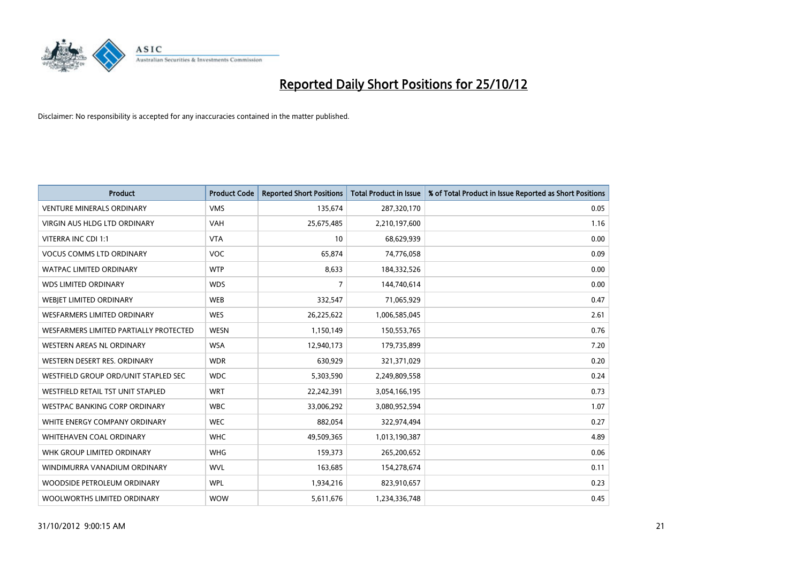

| <b>Product</b>                         | <b>Product Code</b> | <b>Reported Short Positions</b> | <b>Total Product in Issue</b> | % of Total Product in Issue Reported as Short Positions |
|----------------------------------------|---------------------|---------------------------------|-------------------------------|---------------------------------------------------------|
| <b>VENTURE MINERALS ORDINARY</b>       | <b>VMS</b>          | 135,674                         | 287,320,170                   | 0.05                                                    |
| <b>VIRGIN AUS HLDG LTD ORDINARY</b>    | <b>VAH</b>          | 25,675,485                      | 2,210,197,600                 | 1.16                                                    |
| VITERRA INC CDI 1:1                    | <b>VTA</b>          | 10                              | 68,629,939                    | 0.00                                                    |
| <b>VOCUS COMMS LTD ORDINARY</b>        | <b>VOC</b>          | 65,874                          | 74,776,058                    | 0.09                                                    |
| <b>WATPAC LIMITED ORDINARY</b>         | <b>WTP</b>          | 8,633                           | 184,332,526                   | 0.00                                                    |
| <b>WDS LIMITED ORDINARY</b>            | <b>WDS</b>          | 7                               | 144,740,614                   | 0.00                                                    |
| WEBIET LIMITED ORDINARY                | <b>WEB</b>          | 332,547                         | 71,065,929                    | 0.47                                                    |
| <b>WESFARMERS LIMITED ORDINARY</b>     | <b>WES</b>          | 26,225,622                      | 1,006,585,045                 | 2.61                                                    |
| WESFARMERS LIMITED PARTIALLY PROTECTED | <b>WESN</b>         | 1,150,149                       | 150,553,765                   | 0.76                                                    |
| <b>WESTERN AREAS NL ORDINARY</b>       | <b>WSA</b>          | 12,940,173                      | 179,735,899                   | 7.20                                                    |
| WESTERN DESERT RES. ORDINARY           | <b>WDR</b>          | 630,929                         | 321,371,029                   | 0.20                                                    |
| WESTFIELD GROUP ORD/UNIT STAPLED SEC   | <b>WDC</b>          | 5,303,590                       | 2,249,809,558                 | 0.24                                                    |
| WESTFIELD RETAIL TST UNIT STAPLED      | <b>WRT</b>          | 22,242,391                      | 3,054,166,195                 | 0.73                                                    |
| <b>WESTPAC BANKING CORP ORDINARY</b>   | <b>WBC</b>          | 33,006,292                      | 3,080,952,594                 | 1.07                                                    |
| WHITE ENERGY COMPANY ORDINARY          | <b>WEC</b>          | 882,054                         | 322,974,494                   | 0.27                                                    |
| <b>WHITEHAVEN COAL ORDINARY</b>        | <b>WHC</b>          | 49,509,365                      | 1,013,190,387                 | 4.89                                                    |
| WHK GROUP LIMITED ORDINARY             | <b>WHG</b>          | 159,373                         | 265,200,652                   | 0.06                                                    |
| WINDIMURRA VANADIUM ORDINARY           | <b>WVL</b>          | 163,685                         | 154,278,674                   | 0.11                                                    |
| WOODSIDE PETROLEUM ORDINARY            | <b>WPL</b>          | 1,934,216                       | 823,910,657                   | 0.23                                                    |
| WOOLWORTHS LIMITED ORDINARY            | <b>WOW</b>          | 5,611,676                       | 1,234,336,748                 | 0.45                                                    |